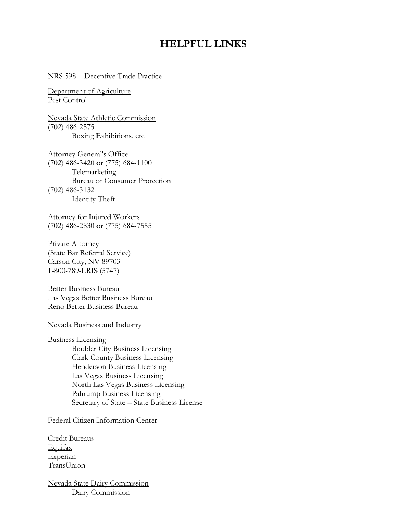## **HELPFUL LINKS**

## NRS 598 – [Deceptive Trade Practice](http://www.leg.state.nv.us/NRS/NRS-598.html)

[Department of Agriculture](http://agri.nv.gov/) Pest Control

[Nevada State Athletic Commission](http://boxing.nv.gov/) (702) 486-2575 Boxing Exhibitions, etc

[Attorney General's Office](http://ag.nv.gov/) (702) 486-3420 or (775) 684-1100 Telemarketing [Bureau of Consumer Protection](http://ag.nv.gov/About/Consumer_Protection/Bureau_of_Consumer_Protection/) (702) 486-3132 Identity Theft

[Attorney for Injured Workers](http://naiw.nv.gov/) (702) 486-2830 or (775) 684-7555

[Private Attorney](http://www.nvbar.org/) (State Bar Referral Service) Carson City, NV 89703 1-800-789-LRIS (5747)

Better Business Bureau [Las Vegas Better Business Bureau](http://southernnevada.bbb.org/) [Reno Better Business Bureau](http://reno.bbb.org/)

[Nevada Business and Industry](http://business.nv.gov/)

Business Licensing [Boulder City Business Licensing](http://www.bcnv.org/) [Clark County Business Licensing](http://www.clarkcountynv.gov/business-license/Pages/default.aspx) [Henderson Business Licensing](http://www.cityofhenderson.com/finance/business_license_general_info.php) [Las Vegas Business Licensing](http://www.lasvegasnevada.gov/faces/home/communications/business?_afrLoop=1283383604370526&_afrWindowMode=0&_adf.ctrl-state=jb4z15tyd_237) [North Las Vegas Business Licensing](http://www.cityofnorthlasvegas.com/businesses/index.php) [Pahrump Business Licensing](http://pahrumpnv.org/pahrump-nevada/departments/pahrump-business-license/) [Secretary of State](http://nvsos.gov/) – State Business License

[Federal Citizen Information Center](http://pueblo.gsa.gov/cic_text/cars/auto-repair/car-rpr.htm)

Credit Bureaus [Equifax](http://www.equifax.com/home/en_us) [Experian](http://www.experian.com/) [TransUnion](http://www.transunion.com/)

[Nevada State Dairy Commission](http://dairy.nv.gov/) Dairy Commission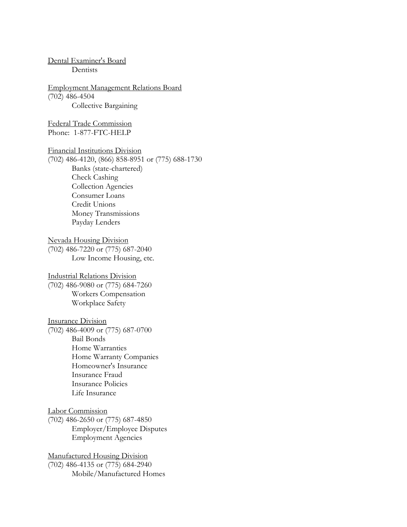[Dental Examiner's Board](http://www.nvdentalboard.nv.gov/) Dentists [Employment Management Relations Board](http://emrb.state.nv.us/) (702) 486-4504 Collective Bargaining [Federal Trade Commission](http://ftc.gov/bcp/edu/pubs/consumer/alerts/alt177.shtm) Phone: 1-877-FTC-HELP [Financial Institutions Division](http://www.fid.state.nv.us/) (702) 486-4120, (866) 858-8951 or (775) 688-1730 Banks (state-chartered) Check Cashing Collection Agencies Consumer Loans Credit Unions Money Transmissions Payday Lenders [Nevada Housing Division](http://housing.nv.gov/) (702) 486-7220 or (775) 687-2040 Low Income Housing, etc. [Industrial Relations Division](http://dirweb.state.nv.us/) (702) 486-9080 or (775) 684-7260 Workers Compensation Workplace Safety [Insurance Division](http://doi.nv.gov/) (702) 486-4009 or (775) 687-0700 Bail Bonds Home Warranties Home Warranty Companies Homeowner's Insurance Insurance Fraud Insurance Policies Life Insurance [Labor Commission](http://www.laborcommissioner.com/) (702) 486-2650 or (775) 687-4850 Employer/Employee Disputes Employment Agencies [Manufactured Housing Division](http://mhd.nv.gov/) (702) 486-4135 or (775) 684-2940 Mobile/Manufactured Homes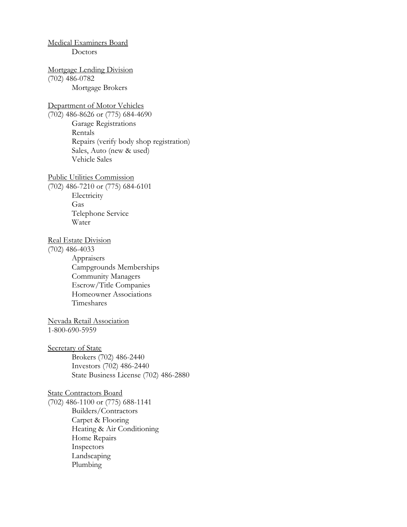## [Medical Examiners Board](http://medboard.nv.gov/) Doctors [Mortgage Lending Division](http://mld.nv.gov/) (702) 486-0782 Mortgage Brokers [Department of Motor Vehicles](http://www.dmvnv.com/) (702) 486-8626 or (775) 684-4690 Garage Registrations Rentals Repairs (verify body shop registration) Sales, Auto (new & used) Vehicle Sales [Public Utilities Commission](http://puc.nv.gov/) (702) 486-7210 or (775) 684-6101 Electricity Gas Telephone Service Water [Real Estate Division](http://red.nv.gov/) (702) 486-4033 Appraisers Campgrounds Memberships Community Managers Escrow/Title Companies Homeowner Associations Timeshares [Nevada Retail Association](http://www.rannv.org/) 1[-800-690-5959](http://www.rannv.org/) [Secretary of State](http://nvsos.gov/) Brokers (702) 486-2440 Investors (702) 486-2440 State Business License (702) 486-2880 [State Contractors Board](http://www.nvcontractorsboard.com/) (702) 486-1100 or (775) 688-1141 Builders/Contractors Carpet & Flooring Heating & Air Conditioning Home Repairs Inspectors Landscaping Plumbing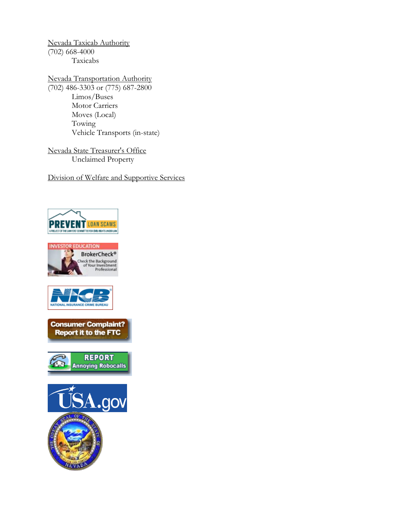[Nevada Taxicab Authority](http://taxi.nv.gov/) (702) 668-4000 Taxicabs

[Nevada Transportation Authority](http://nta.nv.gov/) (702) 486-3303 or (775) 687-2800 Limos/Buses Motor Carriers Moves (Local) Towing Vehicle Transports (in-state)

[Nevada State Treasurer's Office](http://www.nevadatreasurer.gov/) Unclaimed Property

[Division of Welfare and Supportive Services](https://dwss.nv.gov/)







**Consumer Complaint? Report it to the FTC**